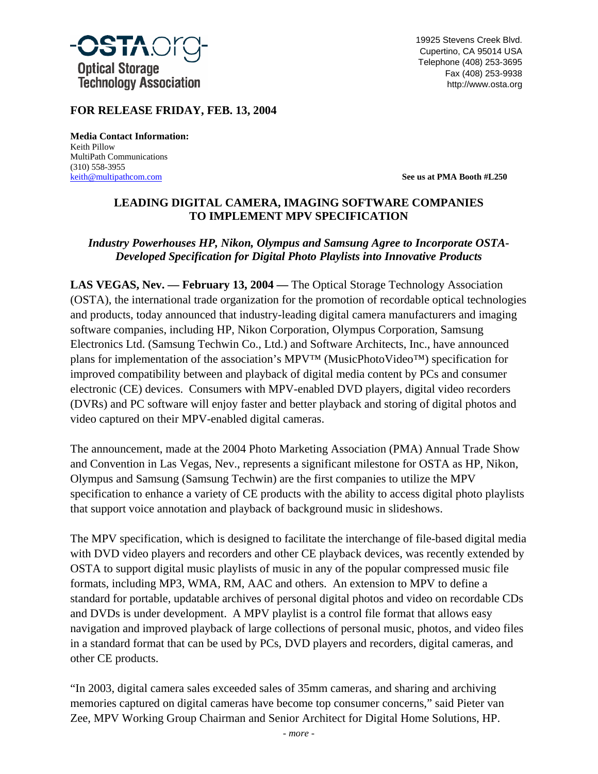

19925 Stevens Creek Blvd. Cupertino, CA 95014 USA Telephone (408) 253-3695 Fax (408) 253-9938 http://www.osta.org

### **FOR RELEASE FRIDAY, FEB. 13, 2004**

**Media Contact Information:** Keith Pillow MultiPath Communications (310) 558-3955

[keith@multipathcom.com](mailto:jan@multipathcom.com) **See us at PMA Booth #L250**

#### **LEADING DIGITAL CAMERA, IMAGING SOFTWARE COMPANIES TO IMPLEMENT MPV SPECIFICATION**

#### *Industry Powerhouses HP, Nikon, Olympus and Samsung Agree to Incorporate OSTA-Developed Specification for Digital Photo Playlists into Innovative Products*

**LAS VEGAS, Nev. — February 13, 2004 —** The Optical Storage Technology Association (OSTA), the international trade organization for the promotion of recordable optical technologies and products, today announced that industry-leading digital camera manufacturers and imaging software companies, including HP, Nikon Corporation, Olympus Corporation, Samsung Electronics Ltd. (Samsung Techwin Co., Ltd.) and Software Architects, Inc., have announced plans for implementation of the association's MPV™ (MusicPhotoVideo™) specification for improved compatibility between and playback of digital media content by PCs and consumer electronic (CE) devices. Consumers with MPV-enabled DVD players, digital video recorders (DVRs) and PC software will enjoy faster and better playback and storing of digital photos and video captured on their MPV-enabled digital cameras.

The announcement, made at the 2004 Photo Marketing Association (PMA) Annual Trade Show and Convention in Las Vegas, Nev., represents a significant milestone for OSTA as HP, Nikon, Olympus and Samsung (Samsung Techwin) are the first companies to utilize the MPV specification to enhance a variety of CE products with the ability to access digital photo playlists that support voice annotation and playback of background music in slideshows.

The MPV specification, which is designed to facilitate the interchange of file-based digital media with DVD video players and recorders and other CE playback devices, was recently extended by OSTA to support digital music playlists of music in any of the popular compressed music file formats, including MP3, WMA, RM, AAC and others. An extension to MPV to define a standard for portable, updatable archives of personal digital photos and video on recordable CDs and DVDs is under development. A MPV playlist is a control file format that allows easy navigation and improved playback of large collections of personal music, photos, and video files in a standard format that can be used by PCs, DVD players and recorders, digital cameras, and other CE products.

"In 2003, digital camera sales exceeded sales of 35mm cameras, and sharing and archiving memories captured on digital cameras have become top consumer concerns," said Pieter van Zee, MPV Working Group Chairman and Senior Architect for Digital Home Solutions, HP.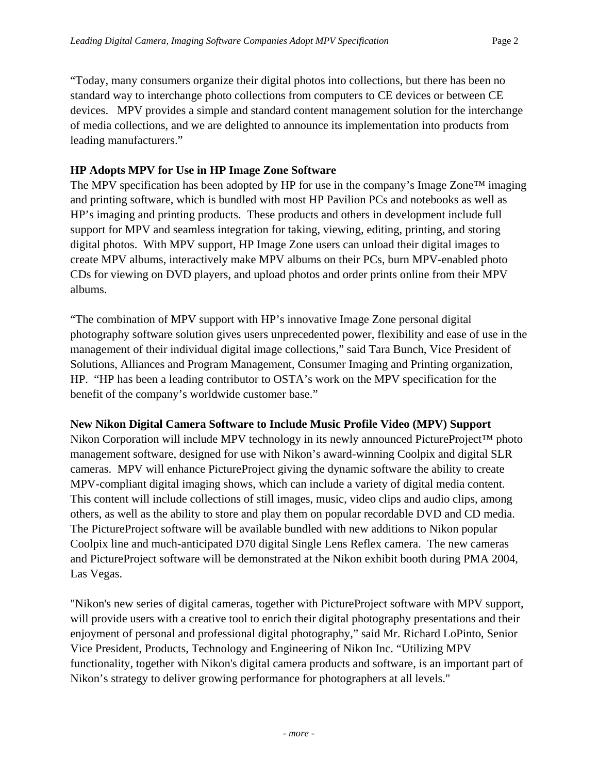"Today, many consumers organize their digital photos into collections, but there has been no standard way to interchange photo collections from computers to CE devices or between CE devices. MPV provides a simple and standard content management solution for the interchange of media collections, and we are delighted to announce its implementation into products from leading manufacturers."

## **HP Adopts MPV for Use in HP Image Zone Software**

The MPV specification has been adopted by HP for use in the company's Image Zone™ imaging and printing software, which is bundled with most HP Pavilion PCs and notebooks as well as HP's imaging and printing products. These products and others in development include full support for MPV and seamless integration for taking, viewing, editing, printing, and storing digital photos. With MPV support, HP Image Zone users can unload their digital images to create MPV albums, interactively make MPV albums on their PCs, burn MPV-enabled photo CDs for viewing on DVD players, and upload photos and order prints online from their MPV albums.

"The combination of MPV support with HP's innovative Image Zone personal digital photography software solution gives users unprecedented power, flexibility and ease of use in the management of their individual digital image collections," said Tara Bunch, Vice President of Solutions, Alliances and Program Management, Consumer Imaging and Printing organization, HP. "HP has been a leading contributor to OSTA's work on the MPV specification for the benefit of the company's worldwide customer base."

### **New Nikon Digital Camera Software to Include Music Profile Video (MPV) Support**

Nikon Corporation will include MPV technology in its newly announced PictureProject™ photo management software, designed for use with Nikon's award-winning Coolpix and digital SLR cameras. MPV will enhance PictureProject giving the dynamic software the ability to create MPV-compliant digital imaging shows, which can include a variety of digital media content. This content will include collections of still images, music, video clips and audio clips, among others, as well as the ability to store and play them on popular recordable DVD and CD media. The PictureProject software will be available bundled with new additions to Nikon popular Coolpix line and much-anticipated D70 digital Single Lens Reflex camera. The new cameras and PictureProject software will be demonstrated at the Nikon exhibit booth during PMA 2004, Las Vegas.

"Nikon's new series of digital cameras, together with PictureProject software with MPV support, will provide users with a creative tool to enrich their digital photography presentations and their enjoyment of personal and professional digital photography," said Mr. Richard LoPinto, Senior Vice President, Products, Technology and Engineering of Nikon Inc. "Utilizing MPV functionality, together with Nikon's digital camera products and software, is an important part of Nikon's strategy to deliver growing performance for photographers at all levels."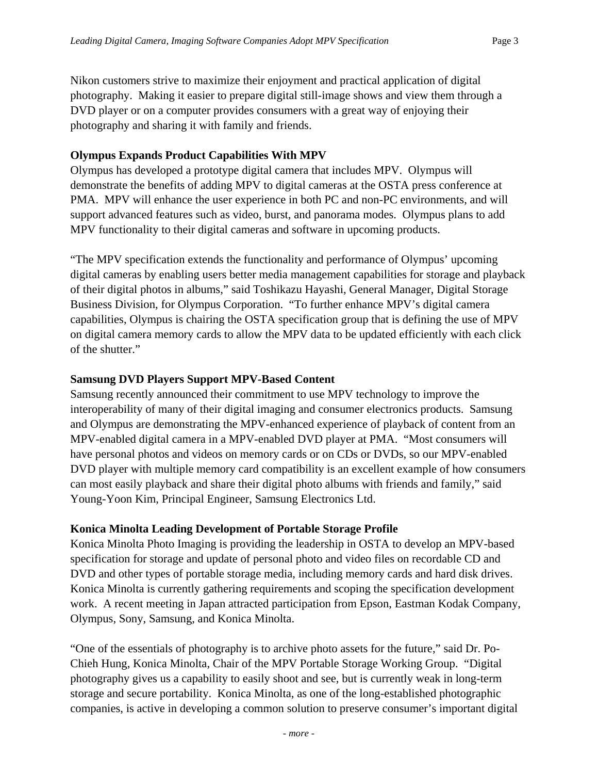Nikon customers strive to maximize their enjoyment and practical application of digital photography. Making it easier to prepare digital still-image shows and view them through a DVD player or on a computer provides consumers with a great way of enjoying their photography and sharing it with family and friends.

## **Olympus Expands Product Capabilities With MPV**

Olympus has developed a prototype digital camera that includes MPV. Olympus will demonstrate the benefits of adding MPV to digital cameras at the OSTA press conference at PMA. MPV will enhance the user experience in both PC and non-PC environments, and will support advanced features such as video, burst, and panorama modes. Olympus plans to add MPV functionality to their digital cameras and software in upcoming products.

"The MPV specification extends the functionality and performance of Olympus' upcoming digital cameras by enabling users better media management capabilities for storage and playback of their digital photos in albums," said Toshikazu Hayashi, General Manager, Digital Storage Business Division, for Olympus Corporation. "To further enhance MPV's digital camera capabilities, Olympus is chairing the OSTA specification group that is defining the use of MPV on digital camera memory cards to allow the MPV data to be updated efficiently with each click of the shutter."

## **Samsung DVD Players Support MPV-Based Content**

Samsung recently announced their commitment to use MPV technology to improve the interoperability of many of their digital imaging and consumer electronics products. Samsung and Olympus are demonstrating the MPV-enhanced experience of playback of content from an MPV-enabled digital camera in a MPV-enabled DVD player at PMA. "Most consumers will have personal photos and videos on memory cards or on CDs or DVDs, so our MPV-enabled DVD player with multiple memory card compatibility is an excellent example of how consumers can most easily playback and share their digital photo albums with friends and family," said Young-Yoon Kim, Principal Engineer, Samsung Electronics Ltd.

# **Konica Minolta Leading Development of Portable Storage Profile**

Konica Minolta Photo Imaging is providing the leadership in OSTA to develop an MPV-based specification for storage and update of personal photo and video files on recordable CD and DVD and other types of portable storage media, including memory cards and hard disk drives. Konica Minolta is currently gathering requirements and scoping the specification development work. A recent meeting in Japan attracted participation from Epson, Eastman Kodak Company, Olympus, Sony, Samsung, and Konica Minolta.

"One of the essentials of photography is to archive photo assets for the future," said Dr. Po-Chieh Hung, Konica Minolta, Chair of the MPV Portable Storage Working Group. "Digital photography gives us a capability to easily shoot and see, but is currently weak in long-term storage and secure portability. Konica Minolta, as one of the long-established photographic companies, is active in developing a common solution to preserve consumer's important digital